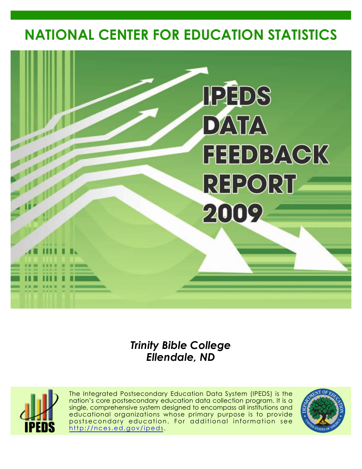# **NATIONAL CENTER FOR EDUCATION STATISTICS**



# *Trinity Bible College Ellendale, ND*



The Integrated Postsecondary Education Data System (IPEDS) is the nation's core postsecondary education data collection program. It is a single, comprehensive system designed to encompass all institutions and educational organizations whose primary purpose is to provide postsecondary education. For additional information see <http://nces.ed.gov/ipeds>.

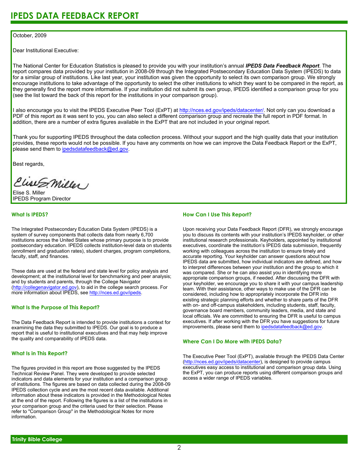## October, 2009

Dear Institutional Executive:

The National Center for Education Statistics is pleased to provide you with your institution's annual *IPEDS Data Feedback Report*. The report compares data provided by your institution in 2008-09 through the Integrated Postsecondary Education Data System (IPEDS) to data for a similar group of institutions. Like last year, your institution was given the opportunity to select its own comparison group. We strongly encourage institutions to take advantage of the opportunity to select the other institutions to which they want to be compared in the report, as they generally find the report more informative. If your institution did not submit its own group, IPEDS identified a comparison group for you (see the list toward the back of this report for the institutions in your comparison group).

I also encourage you to visit the IPEDS Executive Peer Tool (ExPT) at <http://nces.ed.gov/ipeds/datacenter/>. Not only can you download a PDF of this report as it was sent to you, you can also select a different comparison group and recreate the full report in PDF format. In addition, there are a number of extra figures available in the ExPT that are not included in your original report.

Thank you for supporting IPEDS throughout the data collection process. Without your support and the high quality data that your institution provides, these reports would not be possible. If you have any comments on how we can improve the Data Feedback Report or the ExPT, please send them to ipedsdatafeedback@ed.gov.

Best regards,

Clist S. Miller

Elise S. Miller IPEDS Program Director

## **What Is IPEDS?**

The Integrated Postsecondary Education Data System (IPEDS) is a system of survey components that collects data from nearly 6,700 institutions across the United States whose primary purpose is to provide postsecondary education. IPEDS collects institution-level data on students (enrollment and graduation rates), student charges, program completions, faculty, staff, and finances.

These data are used at the federal and state level for policy analysis and development; at the institutional level for benchmarking and peer analysis; and by students and parents, through the College Navigator [\(http://collegenavigator.ed.gov\)](http://collegenavigator.ed.gov), to aid in the college search process. For more information about IPEDS, see [http://nces.ed.gov/ipeds.](http://nces.ed.gov/ipeds)

## **What Is the Purpose of This Report?**

The Data Feedback Report is intended to provide institutions a context for examining the data they submitted to IPEDS. Our goal is to produce a report that is useful to institutional executives and that may help improve the quality and comparability of IPEDS data.

## **What Is in This Report?**

The figures provided in this report are those suggested by the IPEDS Technical Review Panel. They were developed to provide selected indicators and data elements for your institution and a comparison group of institutions. The figures are based on data collected during the 2008-09 IPEDS collection cycle and are the most recent data available. Additional information about these indicators is provided in the Methodological Notes at the end of the report. Following the figures is a list of the institutions in your comparison group and the criteria used for their selection. Please refer to "Comparison Group" in the Methodological Notes for more information.

## **How Can I Use This Report?**

Upon receiving your Data Feedback Report (DFR), we strongly encourage you to discuss its contents with your institution's IPEDS keyholder, or other institutional research professionals. Keyholders, appointed by institutional executives, coordinate the institution's IPEDS data submission, frequently working with colleagues across the institution to ensure timely and accurate reporting. Your keyholder can answer questions about how IPEDS data are submitted, how individual indicators are defined, and how to interpret differences between your institution and the group to which it was compared. She or he can also assist you in identifying more appropriate comparison groups, if needed. After discussing the DFR with your keyholder, we encourage you to share it with your campus leadership team. With their assistance, other ways to make use of the DFR can be considered, including how to appropriately incorporate the DFR into existing strategic planning efforts and whether to share parts of the DFR with on- and off-campus stakeholders, including students, staff, faculty, governance board members, community leaders, media, and state and local officials. We are committed to ensuring the DFR is useful to campus executives. If after working with the DFR you have suggestions for future improvements, please send them to ipedsdatafeedback@ed.gov.

## **Where Can I Do More with IPEDS Data?**

The Executive Peer Tool (ExPT), available through the IPEDS Data Center [\(http://nces.ed.gov/ipeds/datacenter](http://nces.ed.gov/ipeds/datacenter)), is designed to provide campus executives easy access to institutional and comparison group data. Using the ExPT, you can produce reports using different comparison groups and access a wider range of IPEDS variables.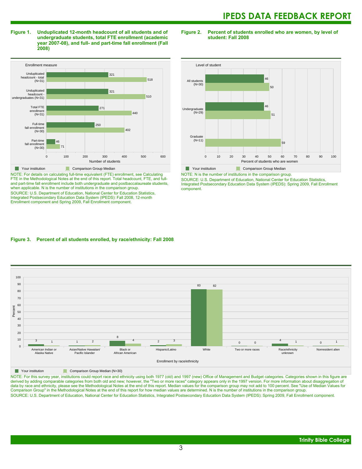**Figure 1. Unduplicated 12-month headcount of all students and of undergraduate students, total FTE enrollment (academic year 2007-08), and full- and part-time fall enrollment (Fall 2008)**



NOTE: For details on calculating full-time equivalent (FTE) enrollment, see Calculating FTE in the Methodological Notes at the end of this report. Total headcount, FTE, and fulland part-time fall enrollment include both undergraduate and postbaccalaureate students, when applicable. N is the number of institutions in the comparison group. SOURCE: U.S. Department of Education, National Center for Education Statistics, Integrated Postsecondary Education Data System (IPEDS): Fall 2008, 12-month Enrollment component and Spring 2009, Fall Enrollment component.

**Figure 2. Percent of students enrolled who are women, by level of student: Fall 2008**



NOTE: N is the number of institutions in the comparison group.

SOURCE: U.S. Department of Education, National Center for Education Statistics, Integrated Postsecondary Education Data System (IPEDS): Spring 2009, Fall Enrollment component.

## **Figure 3. Percent of all students enrolled, by race/ethnicity: Fall 2008**



**Nour institution** Comparison Group Median (N=30)

NOTE: For this survey year, institutions could report race and ethnicity using both 1977 (old) and 1997 (new) Office of Management and Budget categories. Categories shown in this figure are derived by adding comparable categories from both old and new; however, the "Two or more races" category appears only in the 1997 version. For more information about disaggregation of data by race and ethnicity, please see the Methodological Notes at the end of this report. Median values for the comparison group may not add to 100 percent. See "Use of Median Values for Comparison Group" in the Methodological Notes at the end of this report for how median values are determined. N is the number of institutions in the comparison group. SOURCE: U.S. Department of Education, National Center for Education Statistics, Integrated Postsecondary Education Data System (IPEDS): Spring 2009, Fall Enrollment component.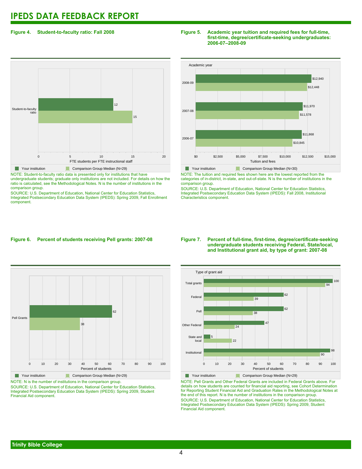## **Figure 4. Student-to-faculty ratio: Fall 2008**

# 0 5 10 15 20 FTE students per FTE instructional staff Student-to-faculty ratio 15 12 **The Comparison Group Median (N=29)** Comparison Group Median (N=29)

NOTE: Student-to-faculty ratio data is presented only for institutions that have undergraduate students; graduate only institutions are not included. For details on how the ratio is calculated, see the Methodological Notes. N is the number of institutions in the comparison group.

SOURCE: U.S. Department of Education, National Center for Education Statistics, Integrated Postsecondary Education Data System (IPEDS): Spring 2009, Fall Enrollment component.

## **Figure 5. Academic year tuition and required fees for full-time, first-time, degree/certificate-seeking undergraduates: 2006-07–2008-09**



NOTE: The tuition and required fees shown here are the lowest reported from the categories of in-district, in-state, and out-of-state. N is the number of institutions in the comparison group.

SOURCE: U.S. Department of Education, National Center for Education Statistics, Integrated Postsecondary Education Data System (IPEDS): Fall 2008, Institutional Characteristics component.

## **Figure 6. Percent of students receiving Pell grants: 2007-08**



**The Comparison Group Median (N=29)** Comparison Group Median (N=29) NOTE: N is the number of institutions in the comparison group. SOURCE: U.S. Department of Education, National Center for Education Statistics,

Integrated Postsecondary Education Data System (IPEDS): Spring 2009, Student Financial Aid component.

## **Figure 7. Percent of full-time, first-time, degree/certificate-seeking undergraduate students receiving Federal, State/local, and Institutional grant aid, by type of grant: 2007-08**



NOTE: Pell Grants and Other Federal Grants are included in Federal Grants above. For details on how students are counted for financial aid reporting, see Cohort Determination for Reporting Student Financial Aid and Graduation Rates in the Methodological Notes at the end of this report. N is the number of institutions in the comparison group. SOURCE: U.S. Department of Education, National Center for Education Statistics, Integrated Postsecondary Education Data System (IPEDS): Spring 2009, Student Financial Aid component.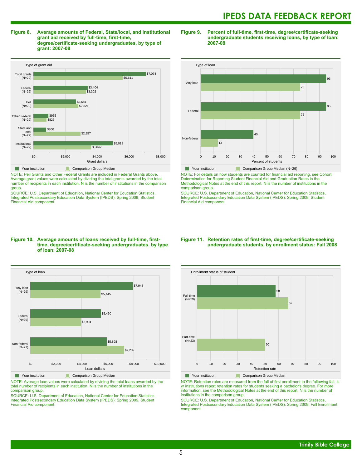**Figure 8. Average amounts of Federal, State/local, and institutional grant aid received by full-time, first-time, degree/certificate-seeking undergraduates, by type of grant: 2007-08**



NOTE: Pell Grants and Other Federal Grants are included in Federal Grants above. Average grant values were calculated by dividing the total grants awarded by the total number of recipients in each institution. N is the number of institutions in the comparison group.

SOURCE: U.S. Department of Education, National Center for Education Statistics, Integrated Postsecondary Education Data System (IPEDS): Spring 2009, Student Financial Aid component.

## **Figure 9. Percent of full-time, first-time, degree/certificate-seeking undergraduate students receiving loans, by type of loan: 2007-08**



NOTE: For details on how students are counted for financial aid reporting, see Cohort Determination for Reporting Student Financial Aid and Graduation Rates in the Methodological Notes at the end of this report. N is the number of institutions in the comparison group.

SOURCE: U.S. Department of Education, National Center for Education Statistics, Integrated Postsecondary Education Data System (IPEDS): Spring 2009, Student Financial Aid component.

## **Figure 10. Average amounts of loans received by full-time, firsttime, degree/certificate-seeking undergraduates, by type of loan: 2007-08**



NOTE: Average loan values were calculated by dividing the total loans awarded by the total number of recipients in each institution. N is the number of institutions in the comparison group.

SOURCE: U.S. Department of Education, National Center for Education Statistics, Integrated Postsecondary Education Data System (IPEDS): Spring 2009, Student Financial Aid component.

## **Figure 11. Retention rates of first-time, degree/certificate-seeking undergraduate students, by enrollment status: Fall 2008**



NOTE: Retention rates are measured from the fall of first enrollment to the following fall. 4 yr institutions report retention rates for students seeking a bachelor's degree. For more information, see the Methodological Notes at the end of this report. N is the number of institutions in the comparison group.

SOURCE: U.S. Department of Education, National Center for Education Statistics, Integrated Postsecondary Education Data System (IPEDS): Spring 2009, Fall Enrollment component.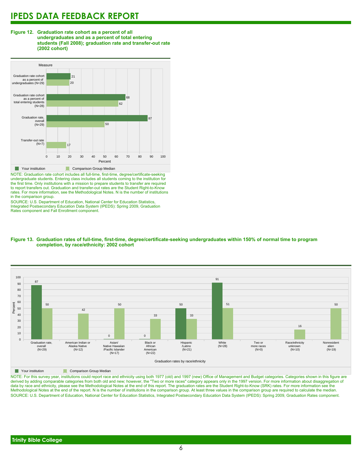



NOTE: Graduation rate cohort includes all full-time, first-time, degree/certificate-seeking undergraduate students. Entering class includes all students coming to the institution for the first time. Only institutions with a mission to prepare students to transfer are required to report transfers out. Graduation and transfer-out rates are the Student Right-to-Know rates. For more information, see the Methodological Notes. N is the number of institutions in the comparison group.

SOURCE: U.S. Department of Education, National Center for Education Statistics, Integrated Postsecondary Education Data System (IPEDS): Spring 2009, Graduation Rates component and Fall Enrollment component.





**The Comparison Group Median** 

NOTE: For this survey year, institutions could report race and ethnicity using both 1977 (old) and 1997 (new) Office of Management and Budget categories. Categories shown in this figure are derived by adding comparable categories from both old and new; however, the "Two or more races" category appears only in the 1997 version. For more information about disaggregation of data by race and ethnicity, please see the Methodological Notes at the end of this report. The graduation rates are the Student Right-to-Know (SRK) rates. For more information see the Methodological Notes at the end of the report. N is the number of institutions in the comparison group. At least three values in the comparison group are required to calculate the median. SOURCE: U.S. Department of Education, National Center for Education Statistics, Integrated Postsecondary Education Data System (IPEDS): Spring 2009, Graduation Rates component.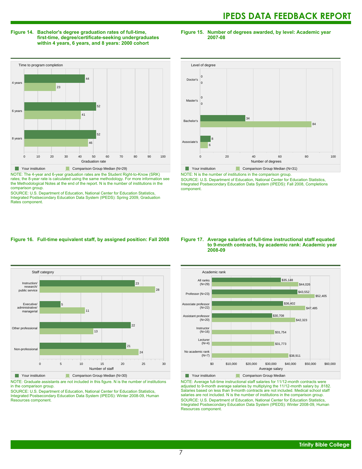## **Figure 14. Bachelor's degree graduation rates of full-time, first-time, degree/certificate-seeking undergraduates within 4 years, 6 years, and 8 years: 2000 cohort**

**Figure 15. Number of degrees awarded, by level: Academic year 2007-08**



NOTE: The 4-year and 6-year graduation rates are the Student Right-to-Know (SRK)

rates; the 8-year rate is calculated using the same methodology. For more information see the Methodological Notes at the end of the report. N is the number of institutions in the comparison group.

SOURCE: U.S. Department of Education, National Center for Education Statistics, Integrated Postsecondary Education Data System (IPEDS): Spring 2009, Graduation Rates component.



NOTE: N is the number of institutions in the comparison group.

SOURCE: U.S. Department of Education, National Center for Education Statistics, Integrated Postsecondary Education Data System (IPEDS): Fall 2008, Completions component.

## **Figure 16. Full-time equivalent staff, by assigned position: Fall 2008**



**The Comparison Group Median (N=30)** Comparison Group Median (N=30)

NOTE: Graduate assistants are not included in this figure. N is the number of institutions in the comparison group.

SOURCE: U.S. Department of Education, National Center for Education Statistics, Integrated Postsecondary Education Data System (IPEDS): Winter 2008-09, Human Resources component.

## **Figure 17. Average salaries of full-time instructional staff equated to 9-month contracts, by academic rank: Academic year 2008-09**



NOTE: Average full-time instructional staff salaries for 11/12-month contracts were adjusted to 9-month average salaries by multiplying the 11/12-month salary by .8182. Salaries based on less than 9-month contracts are not included. Medical school staff salaries are not included. N is the number of institutions in the comparison group. SOURCE: U.S. Department of Education, National Center for Education Statistics, Integrated Postsecondary Education Data System (IPEDS): Winter 2008-09, Human Resources component.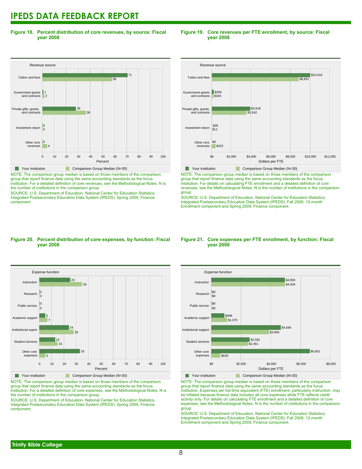**Figure 18. Percent distribution of core revenues, by source: Fiscal year 2008**

## Revenue source 0 10 20 30 40 50 60 70 80 90 100 Percent Other core 0 revenues Investment return Private gifts, grants, and contracts Government grants and contracts Tuition and fees 4 0 0 36 28 2 1 58 71 Your institution Comparison Group Median (N=30)

NOTE: The comparison group median is based on those members of the comparison group that report finance data using the same accounting standards as the focus institution. For a detailed definition of core revenues, see the Methodological Notes. N is the number of institutions in the comparison group.

SOURCE: U.S. Department of Education, National Center for Education Statistics, Integrated Postsecondary Education Data System (IPEDS): Spring 2009, Finance component.

## **Figure 19. Core revenues per FTE enrollment, by source: Fiscal year 2008**



NOTE: The comparison group median is based on those members of the comparison group that report finance data using the same accounting standards as the focus institution. For details on calculating FTE enrollment and a detailed definition of core revenues, see the Methodological Notes. N is the number of institutions in the comparison group.

SOURCE: U.S. Department of Education, National Center for Education Statistics, Integrated Postsecondary Education Data System (IPEDS): Fall 2008, 12-month Enrollment component and Spring 2009, Finance component.

## **Figure 20. Percent distribution of core expenses, by function: Fiscal year 2008**



NOTE: The comparison group median is based on those members of the comparison group that report finance data using the same accounting standards as the focus institution. For a detailed definition of core expenses, see the Methodological Notes. N is the number of institutions in the comparison group.

SOURCE: U.S. Department of Education, National Center for Education Statistics, Integrated Postsecondary Education Data System (IPEDS): Spring 2009, Finance component.

## **Figure 21. Core expenses per FTE enrollment, by function: Fiscal year 2008**



NOTE: The comparison group median is based on those members of the comparison group that report finance data using the same accounting standards as the focus institution. Expenses per full-time equivalent (FTE) enrollment, particularly instruction, may be inflated because finance data includes all core expenses while FTE reflects credit activity only. For details on calculating FTE enrollment and a detailed definition of core expenses, see the Methodological Notes. N is the number of institutions in the comparison group.

SOURCE: U.S. Department of Education, National Center for Education Statistics, Integrated Postsecondary Education Data System (IPEDS): Fall 2008, 12-month Enrollment component and Spring 2009, Finance component.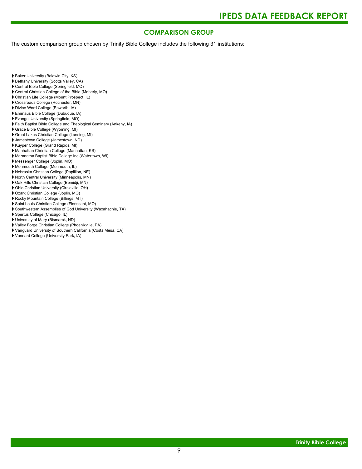## **COMPARISON GROUP**

The custom comparison group chosen by Trinity Bible College includes the following 31 institutions:

Baker University (Baldwin City, KS)

- Bethany University (Scotts Valley, CA)
- Central Bible College (Springfield, MO)
- Central Christian College of the Bible (Moberly, MO)
- Christian Life College (Mount Prospect, IL)
- Crossroads College (Rochester, MN)
- Divine Word College (Epworth, IA)
- Emmaus Bible College (Dubuque, IA)
- Evangel University (Springfield, MO)
- Faith Baptist Bible College and Theological Seminary (Ankeny, IA)
- Grace Bible College (Wyoming, MI)
- Great Lakes Christian College (Lansing, MI)
- Jamestown College (Jamestown, ND)
- Kuyper College (Grand Rapids, MI)
- Manhattan Christian College (Manhattan, KS)
- Maranatha Baptist Bible College Inc (Watertown, WI)
- Messenger College (Joplin, MO)
- Monmouth College (Monmouth, IL)
- Nebraska Christian College (Papillion, NE)
- North Central University (Minneapolis, MN)
- Oak Hills Christian College (Bemidji, MN)
- Ohio Christian University (Circleville, OH)
- Ozark Christian College (Joplin, MO)
- Rocky Mountain College (Billings, MT)
- Saint Louis Christian College (Florissant, MO)
- Southwestern Assemblies of God University (Waxahachie, TX)
- Spertus College (Chicago, IL)
- University of Mary (Bismarck, ND)
- Valley Forge Christian College (Phoenixville, PA)
- Vanguard University of Southern California (Costa Mesa, CA)
- Vennard College (University Park, IA)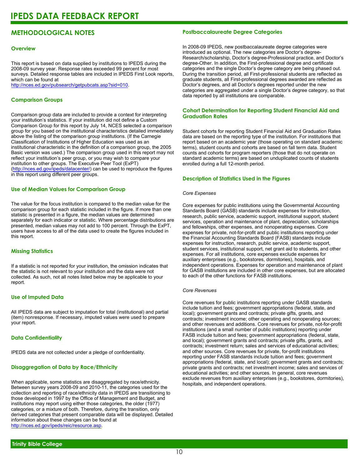## **METHODOLOGICAL NOTES**

## **Overview**

This report is based on data supplied by institutions to IPEDS during the 2008-09 survey year. Response rates exceeded 99 percent for most surveys. Detailed response tables are included in IPEDS First Look reports, which can be found at [http://nces.ed.gov/pubsearch/getpubcats.asp?sid=010.](http://nces.ed.gov/pubsearch/getpubcats.asp?sid=010)

## **Comparison Groups**

Comparison group data are included to provide a context for interpreting your institution's statistics. If your institution did not define a Custom Comparison Group for this report by July 14, NCES selected a comparison group for you based on the institutional characteristics detailed immediately above the listing of the comparison group institutions. (If the Carnegie Classification of Institutions of Higher Education was used as an institutional characteristic in the definition of a comparison group, the 2005 Basic version was used.) The comparison group used in this report may not reflect your institution's peer group, or you may wish to compare your institution to other groups. The Executive Peer Tool (ExPT) (<http://nces.ed.gov/ipeds/datacenter/>) can be used to reproduce the figures in this report using different peer groups.

## **Use of Median Values for Comparison Group**

The value for the focus institution is compared to the median value for the comparison group for each statistic included in the figure. If more than one statistic is presented in a figure, the median values are determined separately for each indicator or statistic. Where percentage distributions are presented, median values may not add to 100 percent. Through the ExPT, users have access to all of the data used to create the figures included in this report.

## **Missing Statistics**

If a statistic is not reported for your institution, the omission indicates that the statistic is not relevant to your institution and the data were not collected. As such, not all notes listed below may be applicable to your report.

## **Use of Imputed Data**

All IPEDS data are subject to imputation for total (institutional) and partial (item) nonresponse. If necessary, imputed values were used to prepare your report.

## **Data Confidentiality**

IPEDS data are not collected under a pledge of confidentiality.

## **Disaggregation of Data by Race/Ethnicity**

When applicable, some statistics are disaggregated by race/ethnicity. Between survey years 2008-09 and 2010-11, the categories used for the collection and reporting of race/ethnicity data in IPEDS are transitioning to those developed in 1997 by the Office of Management and Budget, and institutions may report using either those categories, the older (1977) categories, or a mixture of both. Therefore, during the transition, only derived categories that present comparable data will be displayed. Detailed information about these changes can be found at <http://nces.ed.gov/ipeds/reic/resource.asp>.

## **Postbaccalaureate Degree Categories**

In 2008-09 IPEDS, new postbaccalaureate degree categories were introduced as optional. The new categories are Doctor's degree-Research/scholarship, Doctor's degree-Professional practice, and Doctor's degree-Other. In addition, the First-professional degree and certificate categories and the single Doctor's degree category are being phased out. During the transition period, all First-professional students are reflected as graduate students, all First-professional degrees awarded are reflected as Doctor's degrees, and all Doctor's degrees reported under the new categories are aggregated under a single Doctor's degree category, so that data reported by all institutions are comparable.

## **Cohort Determination for Reporting Student Financial Aid and Graduation Rates**

Student cohorts for reporting Student Financial Aid and Graduation Rates data are based on the reporting type of the institution. For institutions that report based on an academic year (those operating on standard academic terms), student counts and cohorts are based on fall term data. Student counts and cohorts for program reporters (those that do not operate on standard academic terms) are based on unduplicated counts of students enrolled during a full 12-month period.

## **Description of Statistics Used in the Figures**

## *Core Expenses*

Core expenses for public institutions using the Governmental Accounting Standards Board (GASB) standards include expenses for instruction, research, public service, academic support, institutional support, student services, operation and maintenance of plant, depreciation, scholarships and fellowships, other expenses, and nonoperating expenses. Core expenses for private, not-for-profit and public institutions reporting under the Financial Accounting Standards Board (FASB) standards include expenses for instruction, research, public service, academic support, student services, institutional support, net grant aid to students, and other expenses. For all institutions, core expenses exclude expenses for auxiliary enterprises (e.g., bookstores, dormitories), hospitals, and independent operations. Expenses for operation and maintenance of plant for GASB institutions are included in other core expenses, but are allocated to each of the other functions for FASB institutions.

## *Core Revenues*

Core revenues for public institutions reporting under GASB standards include tuition and fees; government appropriations (federal, state, and local); government grants and contracts; private gifts, grants, and contracts; investment income; other operating and nonoperating sources; and other revenues and additions. Core revenues for private, not-for-profit institutions (and a small number of public institutions) reporting under FASB include tuition and fees; government appropriations (federal, state, and local); government grants and contracts; private gifts, grants, and contracts; investment return; sales and services of educational activities; and other sources. Core revenues for private, for-profit institutions reporting under FASB standards include tuition and fees; government appropriations (federal, state, and local); government grants and contracts; private grants and contracts; net investment income; sales and services of educational activities; and other sources. In general, core revenues exclude revenues from auxiliary enterprises (e.g., bookstores, dormitories), hospitals, and independent operations.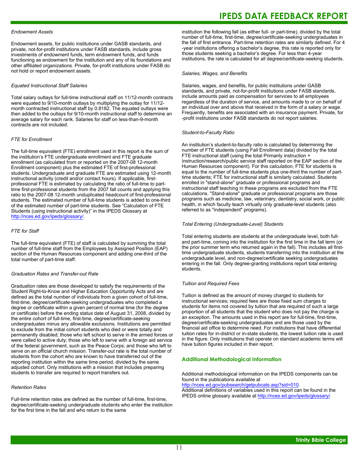## *Endowment Assets*

Endowment assets, for public institutions under GASB standards, and private, not-for-profit institutions under FASB standards, include gross investments of endowment funds, term endowment funds, and funds functioning as endowment for the institution and any of its foundations and other affiliated organizations. Private, for-profit institutions under FASB do not hold or report endowment assets.

## *Equated Instructional Staff Salaries*

Total salary outlays for full-time instructional staff on 11/12-month contracts were equated to 9/10-month outlays by multiplying the outlay for 11/12 month contracted instructional staff by 0.8182. The equated outlays were then added to the outlays for 9/10-month instructional staff to determine an average salary for each rank. Salaries for staff on less-than-9-month contracts are not included.

## *FTE for Enrollment*

The full-time equivalent (FTE) enrollment used in this report is the sum of the institution's FTE undergraduate enrollment and FTE graduate enrollment (as calculated from or reported on the 2007-08 12-month Enrollment component) plus the estimated FTE of first-professional students. Undergraduate and graduate FTE are estimated using 12-month instructional activity (credit and/or contact hours). If applicable, firstprofessional FTE is estimated by calculating the ratio of full-time to parttime first-professional students from the 2007 fall counts and applying this ratio to the 2007-08 12-month unduplicated headcount of first-professional students. The estimated number of full-time students is added to one-third of the estimated number of part-time students. See "Calculation of FTE Students (using instructional activity)" in the IPEDS Glossary at <http://nces.ed.gov/ipeds/glossary/>.

## *FTE for Staff*

The full-time equivalent (FTE) of staff is calculated by summing the total number of full-time staff from the Employees by Assigned Position (EAP) section of the Human Resources component and adding one-third of the total number of part-time staff.

### *Graduation Rates and Transfer-out Rate*

Graduation rates are those developed to satisfy the requirements of the Student Right-to-Know and Higher Education Opportunity Acts and are defined as the total number of individuals from a given cohort of full-time, first-time, degree/certificate-seeking undergraduates who completed a degree or certificate within a given percent of normal time (for the degree or certificate) before the ending status date of August 31, 2008, divided by the entire cohort of full-time, first-time, degree/certificate-seeking undergraduates minus any allowable exclusions. Institutions are permitted to exclude from the initial cohort students who died or were totally and permanently disabled; those who left school to serve in the armed forces or were called to active duty; those who left to serve with a foreign aid service of the federal government, such as the Peace Corps; and those who left to serve on an official church mission. Transfer-out rate is the total number of students from the cohort who are known to have transferred out of the reporting institution within the same time period, divided by the same adjusted cohort. Only institutions with a mission that includes preparing students to transfer are required to report transfers out.

## *Retention Rates*

Full-time retention rates are defined as the number of full-time, first-time, degree/certificate-seeking undergraduate students who enter the institution for the first time in the fall and who return to the same

## **IPEDS DATA FEEDBACK REPORT**

institution the following fall (as either full- or part-time), divided by the total number of full-time, first-time, degree/certificate-seeking undergraduates in the fall of first entrance. Part-time retention rates are similarly defined. For 4 -year institutions offering a bachelor's degree, this rate is reported only for those students seeking a bachelor's degree. For less than 4-year institutions, the rate is calculated for all degree/certificate-seeking students.

#### *Salaries, Wages, and Benefits*

Salaries, wages, and benefits, for public institutions under GASB standards, and private, not-for-profit institutions under FASB standards, include amounts paid as compensation for services to all employees regardless of the duration of service, and amounts made to or on behalf of an individual over and above that received in the form of a salary or wage. Frequently, benefits are associated with an insurance payment. Private, for -profit institutions under FASB standards do not report salaries.

#### *Student-to-Faculty Ratio*

An institution's student-to-faculty ratio is calculated by determining the number of FTE students (using Fall Enrollment data) divided by the total FTE instructional staff (using the total Primarily instruction + Instruction/research/public service staff reported on the EAP section of the Human Resources component). For this calculation, FTE for students is equal to the number of full-time students plus one-third the number of parttime students; FTE for instructional staff is similarly calculated. Students enrolled in "stand-alone" graduate or professional programs and instructional staff teaching in these programs are excluded from the FTE calculations. "Stand-alone" graduate or professional programs are those programs such as medicine, law, veterinary, dentistry, social work, or public health, in which faculty teach virtually only graduate-level students (also referred to as "independent" programs).

## *Total Entering (Undergraduate-Level) Students*

Total entering students are students at the undergraduate level, both fulland part-time, coming into the institution for the first time in the fall term (or the prior summer term who returned again in the fall). This includes all firsttime undergraduate students, students transferring into the institution at the undergraduate level, and non-degree/certificate seeking undergraduates entering in the fall. Only degree-granting institutions report total entering students.

## *Tuition and Required Fees*

Tuition is defined as the amount of money charged to students for instructional services; required fees are those fixed sum charges to students for items not covered by tuition that are required of such a large proportion of all students that the student who does not pay the charge is an exception. The amounts used in this report are for full-time, first-time, degree/certificate-seeking undergraduates and are those used by the financial aid office to determine need. For institutions that have differential tuition rates for in-district or in-state students, the lowest tuition rate is used in the figure. Only institutions that operate on standard academic terms will have tuition figures included in their report.

#### **Additional Methodological Information**

Additional methodological information on the IPEDS components can be found in the publications available at <http://nces.ed.gov/pubsearch/getpubcats.asp?sid=010>.

Additional definitions of variables used in this report can be found in the IPEDS online glossary available at <http://nces.ed.gov/ipeds/glossary/>.